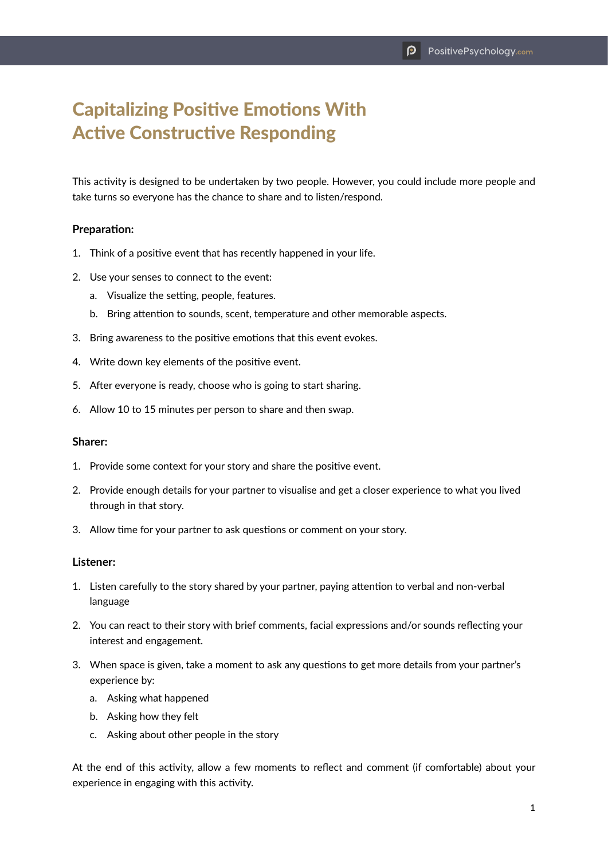# Capitalizing Positive Emotions With Active Constructive Responding

This activity is designed to be undertaken by two people. However, you could include more people and take turns so everyone has the chance to share and to listen/respond.

### **Preparation:**

- 1. Think of a positive event that has recently happened in your life.
- 2. Use your senses to connect to the event:
	- a. Visualize the setting, people, features.
	- b. Bring attention to sounds, scent, temperature and other memorable aspects.
- 3. Bring awareness to the positive emotions that this event evokes.
- 4. Write down key elements of the positive event.
- 5. After everyone is ready, choose who is going to start sharing.
- 6. Allow 10 to 15 minutes per person to share and then swap.

#### **Sharer:**

- 1. Provide some context for your story and share the positive event.
- 2. Provide enough details for your partner to visualise and get a closer experience to what you lived through in that story.
- 3. Allow time for your partner to ask questions or comment on your story.

#### **Listener:**

- 1. Listen carefully to the story shared by your partner, paying attention to verbal and non-verbal language
- 2. You can react to their story with brief comments, facial expressions and/or sounds reflecting your interest and engagement.
- 3. When space is given, take a moment to ask any questions to get more details from your partner's experience by:
	- a. Asking what happened
	- b. Asking how they felt
	- c. Asking about other people in the story

At the end of this activity, allow a few moments to reflect and comment (if comfortable) about your experience in engaging with this activity.